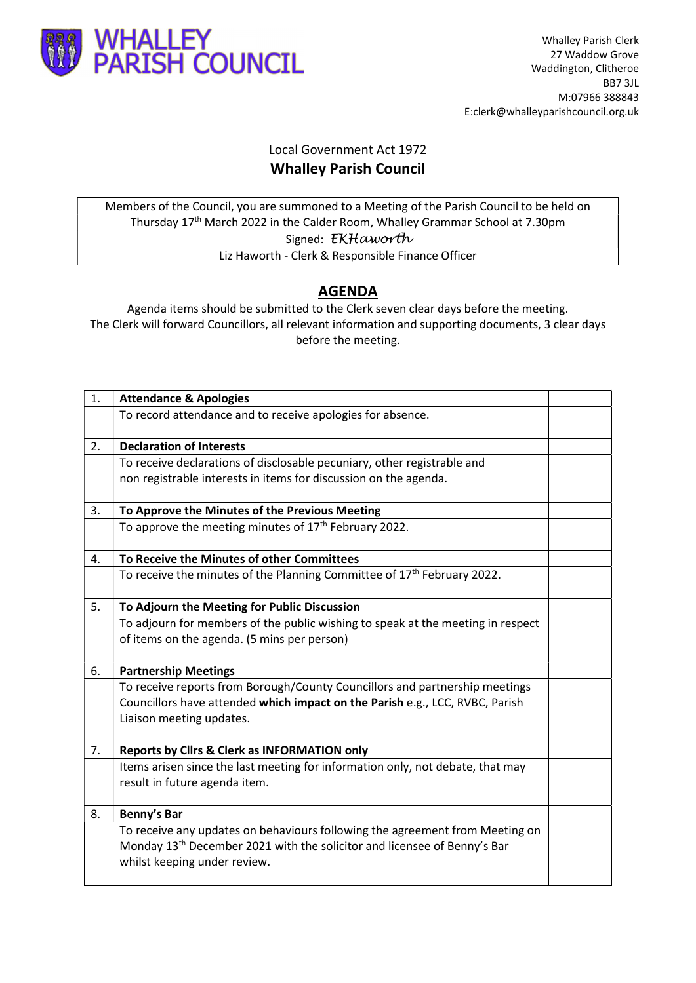

## Local Government Act 1972 Whalley Parish Council

Members of the Council, you are summoned to a Meeting of the Parish Council to be held on Thursday 17th March 2022 in the Calder Room, Whalley Grammar School at 7.30pm Signed: EKHaworth Liz Haworth - Clerk & Responsible Finance Officer

## AGENDA

Agenda items should be submitted to the Clerk seven clear days before the meeting. The Clerk will forward Councillors, all relevant information and supporting documents, 3 clear days before the meeting.

| 1. | <b>Attendance &amp; Apologies</b>                                                    |  |
|----|--------------------------------------------------------------------------------------|--|
|    | To record attendance and to receive apologies for absence.                           |  |
| 2. | <b>Declaration of Interests</b>                                                      |  |
|    | To receive declarations of disclosable pecuniary, other registrable and              |  |
|    | non registrable interests in items for discussion on the agenda.                     |  |
| 3. | To Approve the Minutes of the Previous Meeting                                       |  |
|    | To approve the meeting minutes of 17 <sup>th</sup> February 2022.                    |  |
| 4. | To Receive the Minutes of other Committees                                           |  |
|    | To receive the minutes of the Planning Committee of 17th February 2022.              |  |
| 5. | To Adjourn the Meeting for Public Discussion                                         |  |
|    | To adjourn for members of the public wishing to speak at the meeting in respect      |  |
|    | of items on the agenda. (5 mins per person)                                          |  |
| 6. | <b>Partnership Meetings</b>                                                          |  |
|    | To receive reports from Borough/County Councillors and partnership meetings          |  |
|    | Councillors have attended which impact on the Parish e.g., LCC, RVBC, Parish         |  |
|    | Liaison meeting updates.                                                             |  |
| 7. | <b>Reports by Clirs &amp; Clerk as INFORMATION only</b>                              |  |
|    | Items arisen since the last meeting for information only, not debate, that may       |  |
|    | result in future agenda item.                                                        |  |
| 8. | Benny's Bar                                                                          |  |
|    | To receive any updates on behaviours following the agreement from Meeting on         |  |
|    | Monday 13 <sup>th</sup> December 2021 with the solicitor and licensee of Benny's Bar |  |
|    | whilst keeping under review.                                                         |  |
|    |                                                                                      |  |